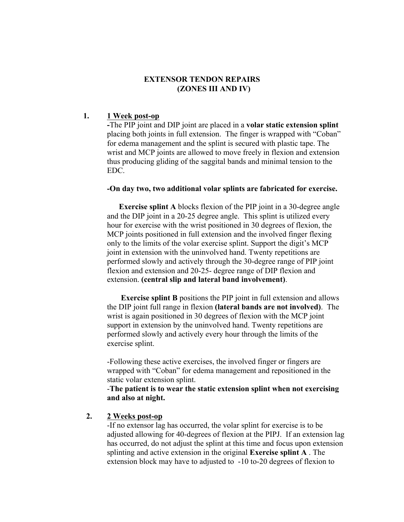### **EXTENSOR TENDON REPAIRS (ZONES III AND IV)**

### **1. 1 Week post-op**

**-**The PIP joint and DIP joint are placed in a **volar static extension splint** placing both joints in full extension. The finger is wrapped with "Coban" for edema management and the splint is secured with plastic tape. The wrist and MCP joints are allowed to move freely in flexion and extension thus producing gliding of the saggital bands and minimal tension to the EDC.

#### **-On day two, two additional volar splints are fabricated for exercise.**

**Exercise splint A** blocks flexion of the PIP joint in a 30-degree angle and the DIP joint in a 20-25 degree angle. This splint is utilized every hour for exercise with the wrist positioned in 30 degrees of flexion, the MCP joints positioned in full extension and the involved finger flexing only to the limits of the volar exercise splint. Support the digit's MCP joint in extension with the uninvolved hand. Twenty repetitions are performed slowly and actively through the 30-degree range of PIP joint flexion and extension and 20-25- degree range of DIP flexion and extension. **(central slip and lateral band involvement)**.

**Exercise splint B** positions the PIP joint in full extension and allows the DIP joint full range in flexion **(lateral bands are not involved)**. The wrist is again positioned in 30 degrees of flexion with the MCP joint support in extension by the uninvolved hand. Twenty repetitions are performed slowly and actively every hour through the limits of the exercise splint.

-Following these active exercises, the involved finger or fingers are wrapped with "Coban" for edema management and repositioned in the static volar extension splint.

-**The patient is to wear the static extension splint when not exercising and also at night.**

#### **2. 2 Weeks post-op**

-If no extensor lag has occurred, the volar splint for exercise is to be adjusted allowing for 40-degrees of flexion at the PIPJ. If an extension lag has occurred, do not adjust the splint at this time and focus upon extension splinting and active extension in the original **Exercise splint A** . The extension block may have to adjusted to -10 to-20 degrees of flexion to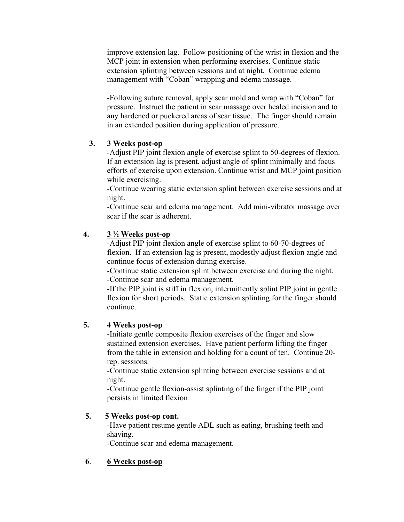improve extension lag. Follow positioning of the wrist in flexion and the MCP joint in extension when performing exercises. Continue static extension splinting between sessions and at night. Continue edema management with "Coban" wrapping and edema massage.

-Following suture removal, apply scar mold and wrap with "Coban" for pressure. Instruct the patient in scar massage over healed incision and to any hardened or puckered areas of scar tissue. The finger should remain in an extended position during application of pressure.

## **3. 3 Weeks post-op**

-Adjust PIP joint flexion angle of exercise splint to 50-degrees of flexion. If an extension lag is present, adjust angle of splint minimally and focus efforts of exercise upon extension. Continue wrist and MCP joint position while exercising.

-Continue wearing static extension splint between exercise sessions and at night.

-Continue scar and edema management. Add mini-vibrator massage over scar if the scar is adherent.

# **4. 3 ½ Weeks post-op**

-Adjust PIP joint flexion angle of exercise splint to 60-70-degrees of flexion. If an extension lag is present, modestly adjust flexion angle and continue focus of extension during exercise.

-Continue static extension splint between exercise and during the night. -Continue scar and edema management.

-If the PIP joint is stiff in flexion, intermittently splint PIP joint in gentle flexion for short periods. Static extension splinting for the finger should continue.

# **5. 4 Weeks post-op**

-Initiate gentle composite flexion exercises of the finger and slow sustained extension exercises. Have patient perform lifting the finger from the table in extension and holding for a count of ten. Continue 20 rep. sessions.

-Continue static extension splinting between exercise sessions and at night.

-Continue gentle flexion-assist splinting of the finger if the PIP joint persists in limited flexion

## **5. 5 Weeks post-op cont.**

-Have patient resume gentle ADL such as eating, brushing teeth and shaving.

-Continue scar and edema management.

## **6**. **6 Weeks post-op**